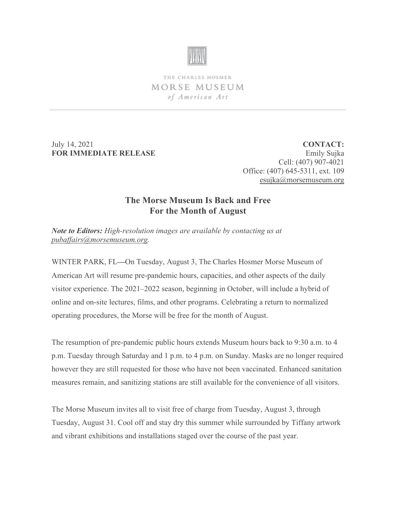

THE CHARLES HOSMER MORSE MUSEUM of American Art

July 14, 2021 **FOR IMMEDIATE RELEASE**

**CONTACT:** Emily Sujka Cell: (407) 907-4021 Office: (407) 645-5311, ext. 109 [esujka@morsemuseum.org](mailto:esujka@morsemuseum.org)

## **The Morse Museum Is Back and Free For the Month of August**

*Note to Editors: High-resolution images are available by contacting us at [pubaffairs@morsemuseum.org.](mailto:pubaffairs@morsemuseum.org)* 

WINTER PARK, FL**—**On Tuesday, August 3, The Charles Hosmer Morse Museum of American Art will resume pre-pandemic hours, capacities, and other aspects of the daily visitor experience. The 2021–2022 season, beginning in October, will include a hybrid of online and on-site lectures, films, and other programs. Celebrating a return to normalized operating procedures, the Morse will be free for the month of August.

The resumption of pre-pandemic public hours extends Museum hours back to 9:30 a.m. to 4 p.m. Tuesday through Saturday and 1 p.m. to 4 p.m. on Sunday. Masks are no longer required however they are still requested for those who have not been vaccinated. Enhanced sanitation measures remain, and sanitizing stations are still available for the convenience of all visitors.

The Morse Museum invites all to visit free of charge from Tuesday, August 3, through Tuesday, August 31. Cool off and stay dry this summer while surrounded by Tiffany artwork and vibrant exhibitions and installations staged over the course of the past year.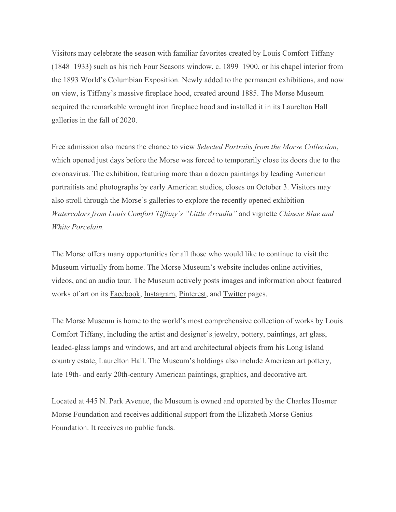Visitors may celebrate the season with familiar favorites created by Louis Comfort Tiffany (1848–1933) such as his rich Four Seasons window, c. 1899–1900, or his chapel interior from the 1893 World's Columbian Exposition. Newly added to the permanent exhibitions, and now on view, is Tiffany's massive fireplace hood, created around 1885. The Morse Museum acquired the remarkable wrought iron fireplace hood and installed it in its Laurelton Hall galleries in the fall of 2020.

Free admission also means the chance to view *Selected Portraits from the Morse Collection*, which opened just days before the Morse was forced to temporarily close its doors due to the coronavirus. The exhibition, featuring more than a dozen paintings by leading American portraitists and photographs by early American studios, closes on October 3. Visitors may also stroll through the Morse's galleries to explore the recently opened exhibition *Watercolors from Louis Comfort Tiffany's "Little Arcadia"* and vignette *Chinese Blue and White Porcelain.*

The Morse offers many opportunities for all those who would like to continue to visit the Museum virtually from home. The Morse Museum's website includes online activities, videos, and an audio tour. The Museum actively posts images and information about featured works of art on its [Facebook,](https://www.facebook.com/morsemuseum/) [Instagram,](https://www.instagram.com/morsemuseum/) [Pinterest,](https://www.pinterest.com/morsemuseum/) and [Twitter](https://twitter.com/MorseMuseum?ref_src=twsrc%255Egoogle%257Ctwcamp%255Eserp%257Ctwgr%255Eauthor) pages.

The Morse Museum is home to the world's most comprehensive collection of works by Louis Comfort Tiffany, including the artist and designer's jewelry, pottery, paintings, art glass, leaded-glass lamps and windows, and art and architectural objects from his Long Island country estate, Laurelton Hall. The Museum's holdings also include American art pottery, late 19th- and early 20th-century American paintings, graphics, and decorative art.

Located at 445 N. Park Avenue, the Museum is owned and operated by the Charles Hosmer Morse Foundation and receives additional support from the Elizabeth Morse Genius Foundation. It receives no public funds.